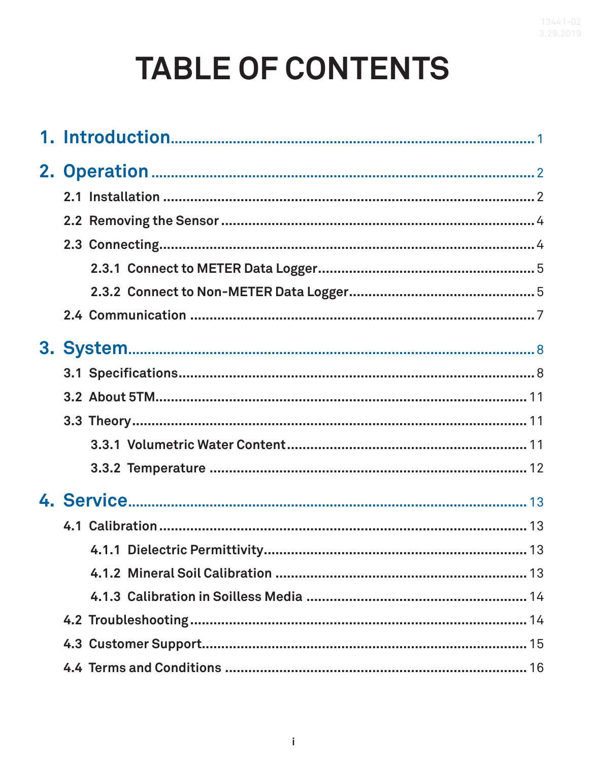# **TABLE OF CONTENTS**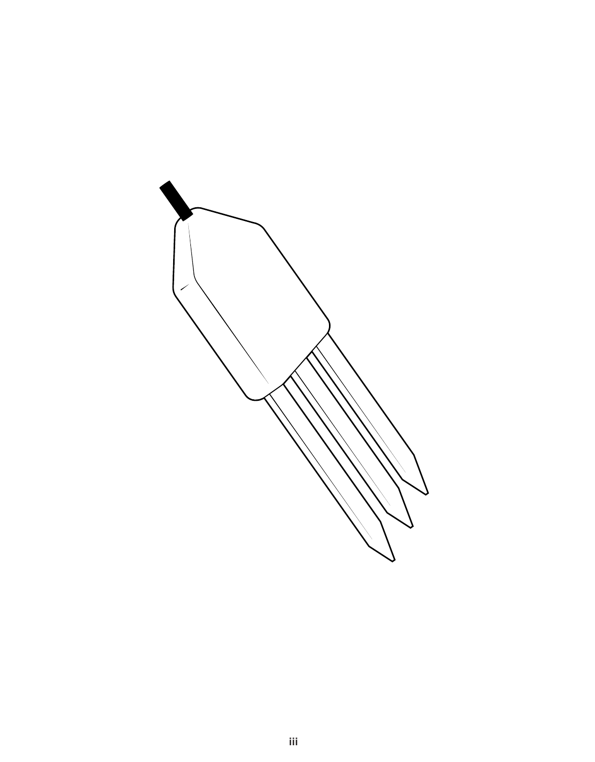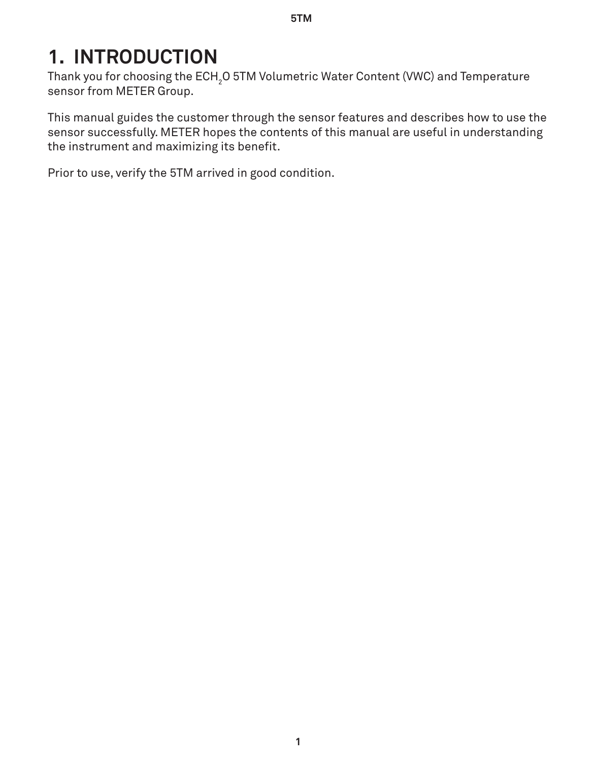# <span id="page-3-0"></span>**1. INTRODUCTION**

Thank you for choosing the ECH<sub>2</sub>O 5TM Volumetric Water Content (VWC) and Temperature sensor from METER Group.

This manual guides the customer through the sensor features and describes how to use the sensor successfully. METER hopes the contents of this manual are useful in understanding the instrument and maximizing its benefit.

Prior to use, verify the 5TM arrived in good condition.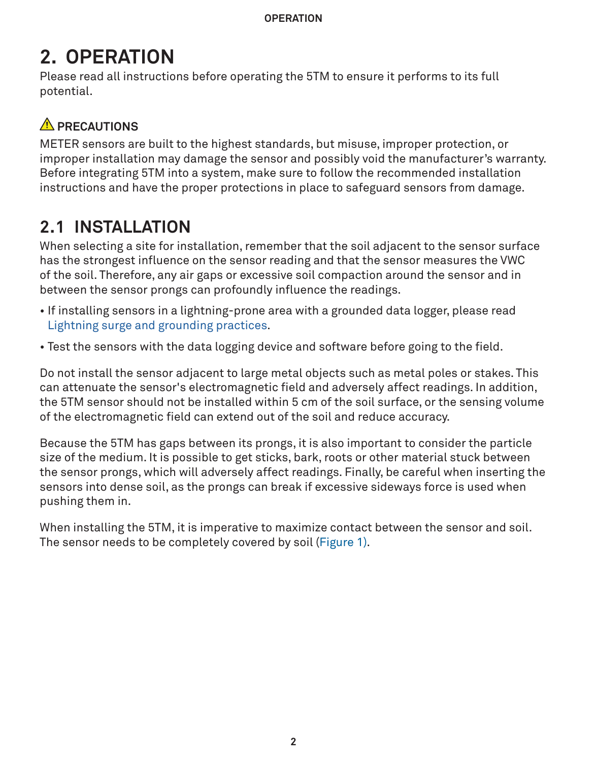# <span id="page-4-0"></span>**2. OPERATION**

Please read all instructions before operating the 5TM to ensure it performs to its full potential.

## **A** PRECAUTIONS

METER sensors are built to the highest standards, but misuse, improper protection, or improper installation may damage the sensor and possibly void the manufacturer's warranty. Before integrating 5TM into a system, make sure to follow the recommended installation instructions and have the proper protections in place to safeguard sensors from damage.

# **2.1 INSTALLATION**

When selecting a site for installation, remember that the soil adjacent to the sensor surface has the strongest influence on the sensor reading and that the sensor measures the VWC of the soil. Therefore, any air gaps or excessive soil compaction around the sensor and in between the sensor prongs can profoundly influence the readings.

- If installing sensors in a lightning-prone area with a grounded data logger, please read Lightning surge and grounding practices.
- Test the sensors with the data logging device and software before going to the field.

Do not install the sensor adjacent to large metal objects such as metal poles or stakes. This can attenuate the sensor's electromagnetic field and adversely affect readings. In addition, the 5TM sensor should not be installed within 5 cm of the soil surface, or the sensing volume of the electromagnetic field can extend out of the soil and reduce accuracy.

Because the 5TM has gaps between its prongs, it is also important to consider the particle size of the medium. It is possible to get sticks, bark, roots or other material stuck between the sensor prongs, which will adversely affect readings. Finally, be careful when inserting the sensors into dense soil, as the prongs can break if excessive sideways force is used when pushing them in.

When installing the 5TM, it is imperative to maximize contact between the sensor and soil. The sensor needs to be completely covered by soil ([Figure 1\)](#page-5-0).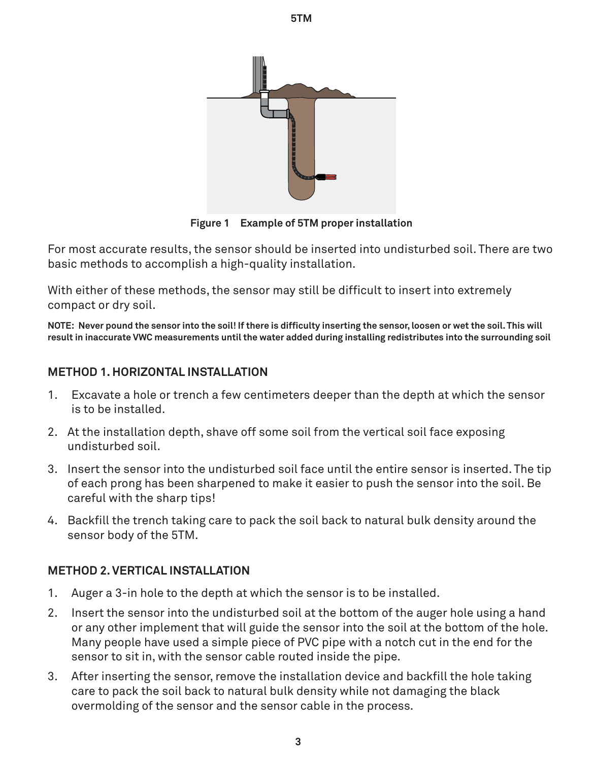<span id="page-5-1"></span><span id="page-5-0"></span>

**Figure 1 Example of 5TM proper installation** 

For most accurate results, the sensor should be inserted into undisturbed soil. There are two basic methods to accomplish a high-quality installation.

With either of these methods, the sensor may still be difficult to insert into extremely compact or dry soil.

**NOTE: Never pound the sensor into the soil! If there is difficulty inserting the sensor, loosen or wet the soil. This will result in inaccurate VWC measurements until the water added during installing redistributes into the surrounding soil**

### **METHOD 1. HORIZONTAL INSTALLATION**

- 1. Excavate a hole or trench a few centimeters deeper than the depth at which the sensor is to be installed.
- 2. At the installation depth, shave off some soil from the vertical soil face exposing undisturbed soil.
- 3. Insert the sensor into the undisturbed soil face until the entire sensor is inserted. The tip of each prong has been sharpened to make it easier to push the sensor into the soil. Be careful with the sharp tips!
- 4. Backfill the trench taking care to pack the soil back to natural bulk density around the sensor body of the 5TM.

### **METHOD 2. VERTICAL INSTALLATION**

- 1. Auger a 3-in hole to the depth at which the sensor is to be installed.
- 2. Insert the sensor into the undisturbed soil at the bottom of the auger hole using a hand or any other implement that will guide the sensor into the soil at the bottom of the hole. Many people have used a simple piece of PVC pipe with a notch cut in the end for the sensor to sit in, with the sensor cable routed inside the pipe.
- 3. After inserting the sensor, remove the installation device and backfill the hole taking care to pack the soil back to natural bulk density while not damaging the black overmolding of the sensor and the sensor cable in the process.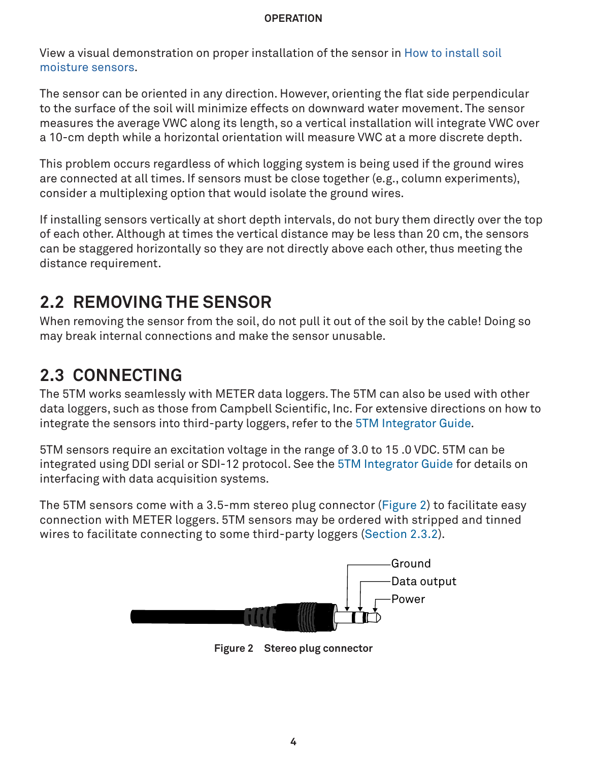#### **Operation**

<span id="page-6-0"></span>View a visual demonstration on proper installation of the sensor in [How to install soil](https://www.metergroup.com/environment/articles/video-install-soil-moisture-sensors/)  [moisture sensors.](https://www.metergroup.com/environment/articles/video-install-soil-moisture-sensors/)

The sensor can be oriented in any direction. However, orienting the flat side perpendicular to the surface of the soil will minimize effects on downward water movement. The sensor measures the average VWC along its length, so a vertical installation will integrate VWC over a 10-cm depth while a horizontal orientation will measure VWC at a more discrete depth.

This problem occurs regardless of which logging system is being used if the ground wires are connected at all times. If sensors must be close together (e.g., column experiments), consider a multiplexing option that would isolate the ground wires.

If installing sensors vertically at short depth intervals, do not bury them directly over the top of each other. Although at times the vertical distance may be less than 20 cm, the sensors can be staggered horizontally so they are not directly above each other, thus meeting the distance requirement.

### **2.2 REMOVING THE SENSOR**

When removing the sensor from the soil, do not pull it out of the soil by the cable! Doing so may break internal connections and make the sensor unusable.

# **2.3 CONNECTING**

The 5TM works seamlessly with METER data loggers. The 5TM can also be used with other data loggers, such as those from Campbell Scientific, Inc. For extensive directions on how to integrate the sensors into third-party loggers, refer to the [5TM Integrator Guide](http://www.metergroup.com/5tm-support).

5TM sensors require an excitation voltage in the range of 3.0 to 15 .0 VDC. 5TM can be integrated using DDI serial or SDI-12 protocol. See the [5TM Integrator Guide](http://www.metergroup.com/5tm-support) for details on interfacing with data acquisition systems.

The 5TM sensors come with a 3.5-mm stereo plug connector ([Figure 2\)](#page-6-1) to facilitate easy connection with METER loggers. 5TM sensors may be ordered with stripped and tinned wires to facilitate connecting to some third-party loggers ([Section 2.3.2](#page-7-1)).



<span id="page-6-1"></span>**Figure 2 Stereo plug connector**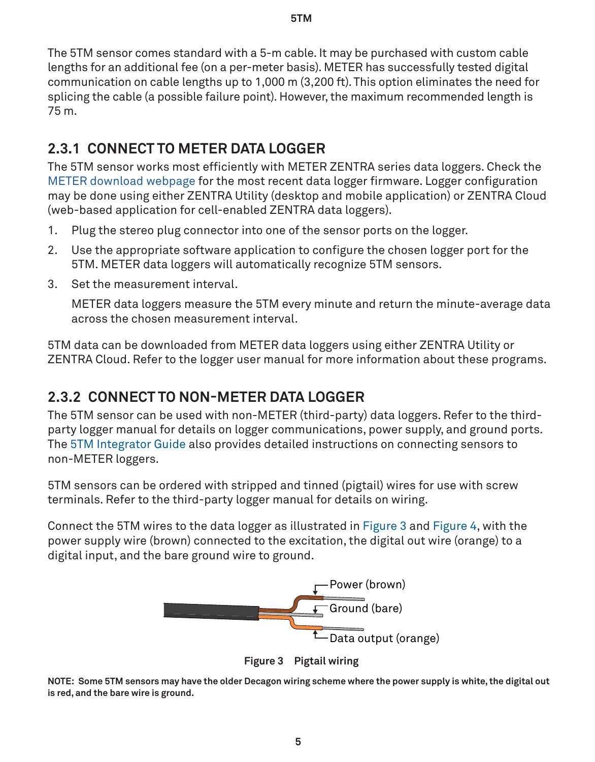<span id="page-7-0"></span>The 5TM sensor comes standard with a 5-m cable. It may be purchased with custom cable lengths for an additional fee (on a per-meter basis). METER has successfully tested digital communication on cable lengths up to 1,000 m (3,200 ft). This option eliminates the need for splicing the cable (a possible failure point). However, the maximum recommended length is 75 m.

### **2.3.1 CONNECT TO METER DATA LOGGER**

The 5TM sensor works most efficiently with METER ZENTRA series data loggers. Check the [METER download webpage](https://www.metergroup.com/environment/downloads/) for the most recent data logger firmware. Logger configuration may be done using either ZENTRA Utility (desktop and mobile application) or ZENTRA Cloud (web-based application for cell-enabled ZENTRA data loggers).

- 1. Plug the stereo plug connector into one of the sensor ports on the logger.
- 2. Use the appropriate software application to configure the chosen logger port for the 5TM. METER data loggers will automatically recognize 5TM sensors.
- 3. Set the measurement interval.

METER data loggers measure the 5TM every minute and return the minute-average data across the chosen measurement interval.

5TM data can be downloaded from METER data loggers using either ZENTRA Utility or ZENTRA Cloud. Refer to the logger user manual for more information about these programs.

### <span id="page-7-1"></span>**2.3.2 CONNECT TO NON-METER DATA LOGGER**

The 5TM sensor can be used with non-METER (third-party) data loggers. Refer to the thirdparty logger manual for details on logger communications, power supply, and ground ports. The [5TM Integrator Guide](http://www.metergroup.com/5tm-support) also provides detailed instructions on connecting sensors to non-METER loggers.

5TM sensors can be ordered with stripped and tinned (pigtail) wires for use with screw terminals. Refer to the third-party logger manual for details on wiring.

Connect the 5TM wires to the data logger as illustrated in [Figure 3](#page-7-2) and [Figure 4,](#page-8-0) with the power supply wire (brown) connected to the excitation, the digital out wire (orange) to a digital input, and the bare ground wire to ground.



<span id="page-7-2"></span>**Figure 3 Pigtail wiring**

**NOTE: Some 5TM sensors may have the older Decagon wiring scheme where the power supply is white, the digital out is red, and the bare wire is ground.**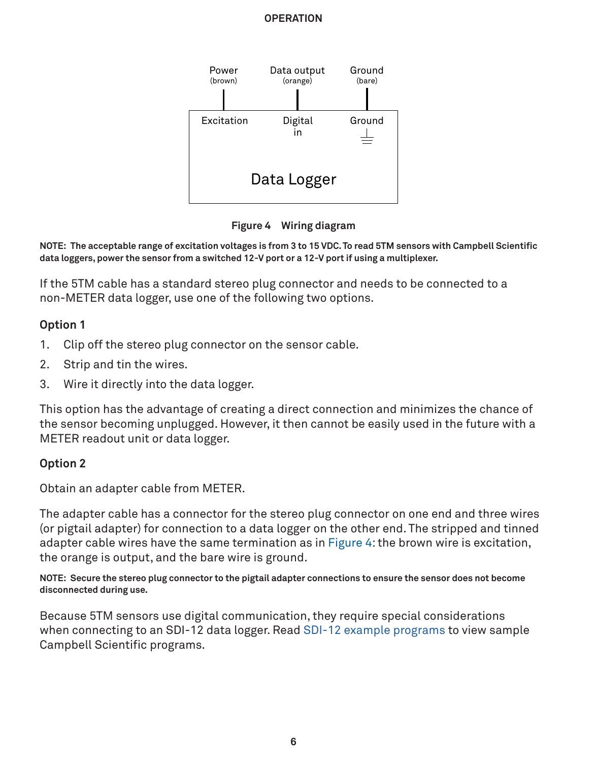#### **Operation**

<span id="page-8-1"></span>

<span id="page-8-0"></span>**Figure 4 Wiring diagram**

**NOTE: The acceptable range of excitation voltages is from 3 to 15 VDC. To read 5TM sensors with Campbell Scientific data loggers, power the sensor from a switched 12-V port or a 12-V port if using a multiplexer.**

If the 5TM cable has a standard stereo plug connector and needs to be connected to a non-METER data logger, use one of the following two options.

#### **Option 1**

- 1. Clip off the stereo plug connector on the sensor cable.
- 2. Strip and tin the wires.
- 3. Wire it directly into the data logger.

This option has the advantage of creating a direct connection and minimizes the chance of the sensor becoming unplugged. However, it then cannot be easily used in the future with a METER readout unit or data logger.

#### **Option 2**

Obtain an adapter cable from METER.

The adapter cable has a connector for the stereo plug connector on one end and three wires (or pigtail adapter) for connection to a data logger on the other end. The stripped and tinned adapter cable wires have the same termination as in [Figure 4](#page-8-0): the brown wire is excitation, the orange is output, and the bare wire is ground.

**NOTE: Secure the stereo plug connector to the pigtail adapter connections to ensure the sensor does not become disconnected during use.**

Because 5TM sensors use digital communication, they require special considerations when connecting to an SDI-12 data logger. Read [SDI-12 example programs](https://www.metergroup.com/environment/articles/sdi-12-example-programs/) to view sample Campbell Scientific programs.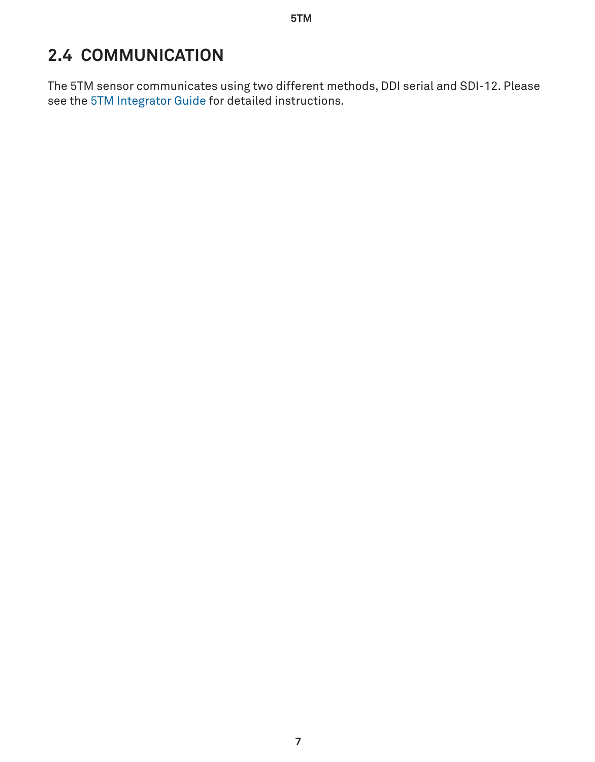# <span id="page-9-0"></span>**2.4 COMMUNICATION**

The 5TM sensor communicates using two different methods, DDI serial and SDI-12. Please see the [5TM Integrator Guide](http://www.metergroup.com/5tm-support) for detailed instructions.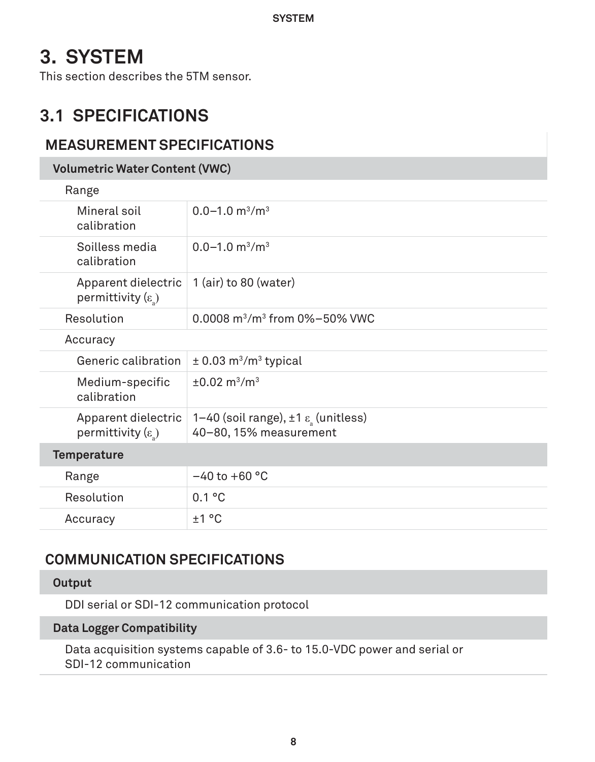# <span id="page-10-0"></span>**3. SYSTEM**

This section describes the 5TM sensor.

# **3.1 SPECIFICATIONS**

### **MEASUREMENT SPECIFICATIONS**

| <b>Volumetric Water Content (VWC)</b>            |                                                     |  |
|--------------------------------------------------|-----------------------------------------------------|--|
| Range                                            |                                                     |  |
| Mineral soil<br>calibration                      | $0.0 - 1.0$ m <sup>3</sup> /m <sup>3</sup>          |  |
| Soilless media<br>calibration                    | $0.0 - 1.0$ m <sup>3</sup> /m <sup>3</sup>          |  |
| Apparent dielectric<br>permittivity $(\epsilon)$ | 1 (air) to 80 (water)                               |  |
| Resolution                                       | 0.0008 $\rm m^3/m^3$ from 0%-50% VWC                |  |
| Accuracy                                         |                                                     |  |
| Generic calibration                              | $\pm$ 0.03 m <sup>3</sup> /m <sup>3</sup> typical   |  |
| Medium-specific<br>calibration                   | $+0.02 \text{ m}^3/\text{m}^3$                      |  |
| Apparent dielectric                              | 1–40 (soil range), $\pm$ 1 $\varepsilon$ (unitless) |  |

| permittivity $(\epsilon)$ | 40-80, 15% measurement |  |
|---------------------------|------------------------|--|
| Temperature               |                        |  |
| Range                     | $-40$ to $+60$ °C      |  |
| Resolution                | 0.1 °C                 |  |
| Accuracy                  | ±1 °C                  |  |

### **COMMUNICATION SPECIFICATIONS**

### **Output**

DDI serial or SDI-12 communication protocol

### **Data Logger Compatibility**

Data acquisition systems capable of 3.6- to 15.0-VDC power and serial or SDI-12 communication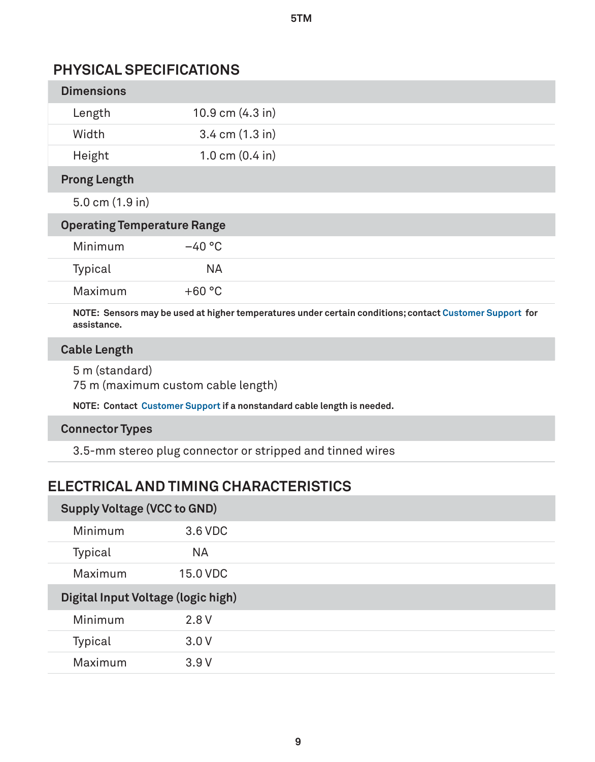### <span id="page-11-0"></span>**PHYSICAL SPECIFICATIONS**

| <b>Dimensions</b>                                                                                                      |                                    |  |
|------------------------------------------------------------------------------------------------------------------------|------------------------------------|--|
| Length                                                                                                                 | 10.9 cm (4.3 in)                   |  |
| Width                                                                                                                  | 3.4 cm (1.3 in)                    |  |
| Height                                                                                                                 | $1.0 \text{ cm } (0.4 \text{ in})$ |  |
| <b>Prong Length</b>                                                                                                    |                                    |  |
| $5.0 \text{ cm} (1.9 \text{ in})$                                                                                      |                                    |  |
| <b>Operating Temperature Range</b>                                                                                     |                                    |  |
| Minimum                                                                                                                | $-40 °C$                           |  |
| Typical                                                                                                                | NA.                                |  |
| Maximum                                                                                                                | $+60 °C$                           |  |
| NOTE: Sensors may be used at higher temperatures under certain conditions; contact Customer Support for<br>assistance. |                                    |  |
| <b>Cable Length</b>                                                                                                    |                                    |  |
| 5 m (standard)                                                                                                         |                                    |  |

75 m (maximum custom cable length)

**NOTE: Contact [Customer Support](#page-17-1) if a nonstandard cable length is needed.**

### **Connector Types**

3.5-mm stereo plug connector or stripped and tinned wires

### **ELECTRICAL AND TIMING CHARACTERISTICS**

| <b>Supply Voltage (VCC to GND)</b> |          |  |
|------------------------------------|----------|--|
| Minimum                            | 3.6 VDC  |  |
| Typical                            | NA.      |  |
| Maximum                            | 15.0 VDC |  |
| Digital Input Voltage (logic high) |          |  |
|                                    |          |  |
| Minimum                            | 2.8 V    |  |
| Typical                            | 3.0V     |  |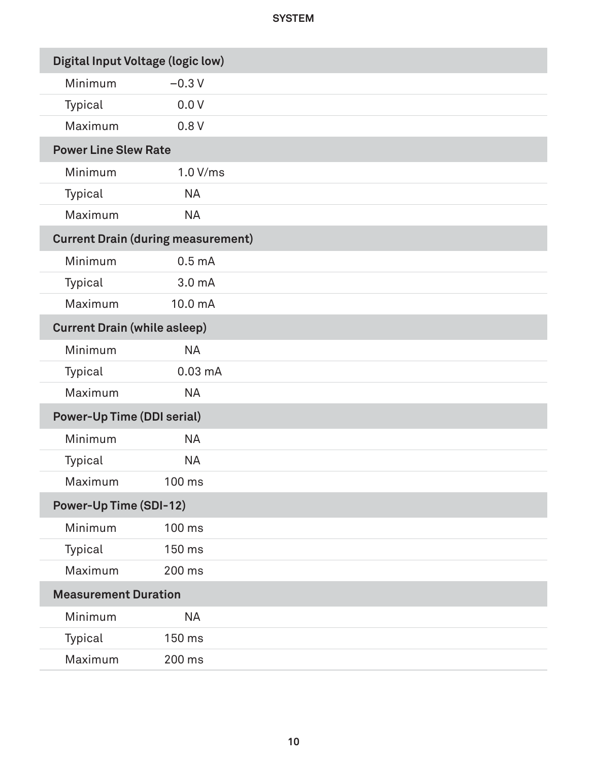<span id="page-12-0"></span>

| Digital Input Voltage (logic low)   |                                           |  |
|-------------------------------------|-------------------------------------------|--|
| Minimum                             | $-0.3V$                                   |  |
| Typical                             | 0.0V                                      |  |
| Maximum                             | 0.8V                                      |  |
| <b>Power Line Slew Rate</b>         |                                           |  |
| Minimum                             | 1.0 V/ms                                  |  |
| Typical                             | <b>NA</b>                                 |  |
| Maximum                             | <b>NA</b>                                 |  |
|                                     | <b>Current Drain (during measurement)</b> |  |
| Minimum                             | 0.5 <sub>mA</sub>                         |  |
| Typical                             | 3.0 <sub>m</sub> A                        |  |
| Maximum                             | 10.0 <sub>m</sub> A                       |  |
| <b>Current Drain (while asleep)</b> |                                           |  |
| Minimum                             | <b>NA</b>                                 |  |
| Typical                             | $0.03 \text{ mA}$                         |  |
| Maximum                             | <b>NA</b>                                 |  |
| <b>Power-Up Time (DDI serial)</b>   |                                           |  |
| Minimum                             | <b>NA</b>                                 |  |
| Typical                             | <b>NA</b>                                 |  |
| Maximum                             | $100 \text{ ms}$                          |  |
| Power-Up Time (SDI-12)              |                                           |  |
| Minimum                             | $100 \text{ ms}$                          |  |
| Typical                             | $150 \text{ ms}$                          |  |
| Maximum                             | $200 \text{ ms}$                          |  |
| <b>Measurement Duration</b>         |                                           |  |
| Minimum                             | <b>NA</b>                                 |  |
| Typical                             | $150 \text{ ms}$                          |  |
| Maximum                             | 200 ms                                    |  |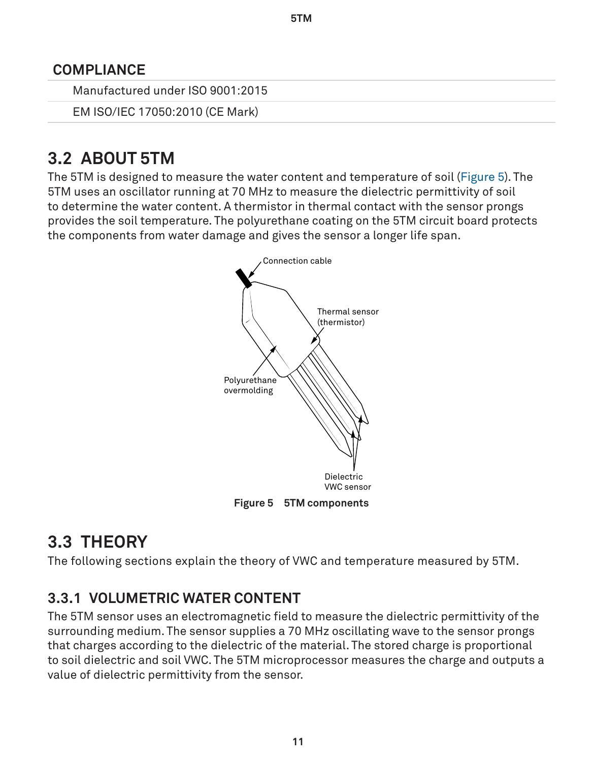### <span id="page-13-0"></span>**COMPLIANCE**

Manufactured under ISO 9001:2015

```
EM ISO/IEC 17050:2010 (CE Mark)
```
### **3.2 ABOUT 5TM**

The 5TM is designed to measure the water content and temperature of soil [\(Figure 5\)](#page-13-1). The 5TM uses an oscillator running at 70 MHz to measure the dielectric permittivity of soil to determine the water content. A thermistor in thermal contact with the sensor prongs provides the soil temperature. The polyurethane coating on the 5TM circuit board protects the components from water damage and gives the sensor a longer life span.

<span id="page-13-1"></span>

### **3.3 THEORY**

The following sections explain the theory of VWC and temperature measured by 5TM.

### **3.3.1 VOLUMETRIC WATER CONTENT**

The 5TM sensor uses an electromagnetic field to measure the dielectric permittivity of the surrounding medium. The sensor supplies a 70 MHz oscillating wave to the sensor prongs that charges according to the dielectric of the material. The stored charge is proportional to soil dielectric and soil VWC. The 5TM microprocessor measures the charge and outputs a value of dielectric permittivity from the sensor.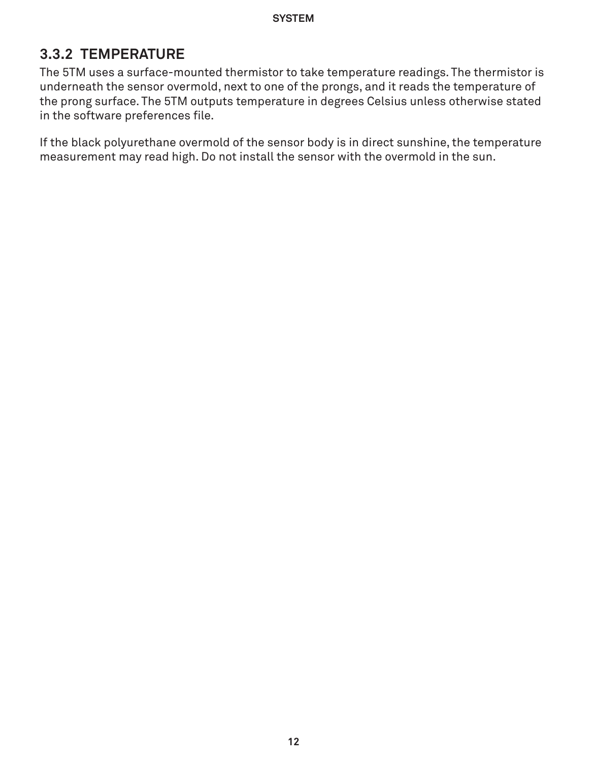### <span id="page-14-0"></span>**3.3.2 TEMPERATURE**

The 5TM uses a surface-mounted thermistor to take temperature readings. The thermistor is underneath the sensor overmold, next to one of the prongs, and it reads the temperature of the prong surface. The 5TM outputs temperature in degrees Celsius unless otherwise stated in the software preferences file.

If the black polyurethane overmold of the sensor body is in direct sunshine, the temperature measurement may read high. Do not install the sensor with the overmold in the sun.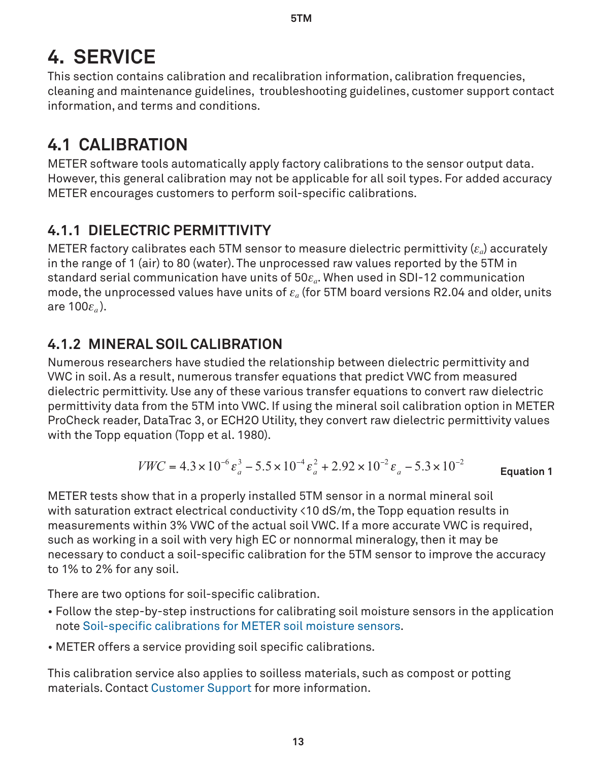# <span id="page-15-0"></span>**4. SERVICE**

This section contains calibration and recalibration information, calibration frequencies, cleaning and maintenance guidelines, troubleshooting guidelines, customer support contact information, and terms and conditions.

# <span id="page-15-2"></span>**4.1 CALIBRATION**

METER software tools automatically apply factory calibrations to the sensor output data. However, this general calibration may not be applicable for all soil types. For added accuracy METER encourages customers to perform soil-specific calibrations.

### **4.1.1 DIELECTRIC PERMITTIVITY**

METER factory calibrates each 5TM sensor to measure dielectric permittivity (*εa*) accurately in the range of 1 (air) to 80 (water). The unprocessed raw values reported by the 5TM in standard serial communication have units of 50*εa*. When used in SDI-12 communication mode, the unprocessed values have units of *εa* (for 5TM board versions R2.04 and older, units are 100*ε<sup>a</sup>* ).

### <span id="page-15-1"></span>**4.1.2 MINERAL SOIL CALIBRATION**

Numerous researchers have studied the relationship between dielectric permittivity and VWC in soil. As a result, numerous transfer equations that predict VWC from measured dielectric permittivity. Use any of these various transfer equations to convert raw dielectric permittivity data from the 5TM into VWC. If using the mineral soil calibration option in METER ProCheck reader, DataTrac 3, or ECH2O Utility, they convert raw dielectric permittivity values with the Topp equation (Topp et al. 1980).

$$
VWC = 4.3 \times 10^{-6} \varepsilon_a^3 - 5.5 \times 10^{-4} \varepsilon_a^2 + 2.92 \times 10^{-2} \varepsilon_a - 5.3 \times 10^{-2}
$$
 Equation 1

METER tests show that in a properly installed 5TM sensor in a normal mineral soil with saturation extract electrical conductivity <10 dS/m, the Topp equation results in measurements within 3% VWC of the actual soil VWC. If a more accurate VWC is required, such as working in a soil with very high EC or nonnormal mineralogy, then it may be necessary to conduct a soil-specific calibration for the 5TM sensor to improve the accuracy to 1% to 2% for any soil.

There are two options for soil-specific calibration.

- Follow the step-by-step instructions for calibrating soil moisture sensors in the application note [Soil-specific calibrations for METER soil moisture sensors.](https://www.metergroup.com/soil-sensor-calibration)
- METER offers a service providing soil specific calibrations.

This calibration service also applies to soilless materials, such as compost or potting materials. Contact [Customer Support](#page-17-1) for more information.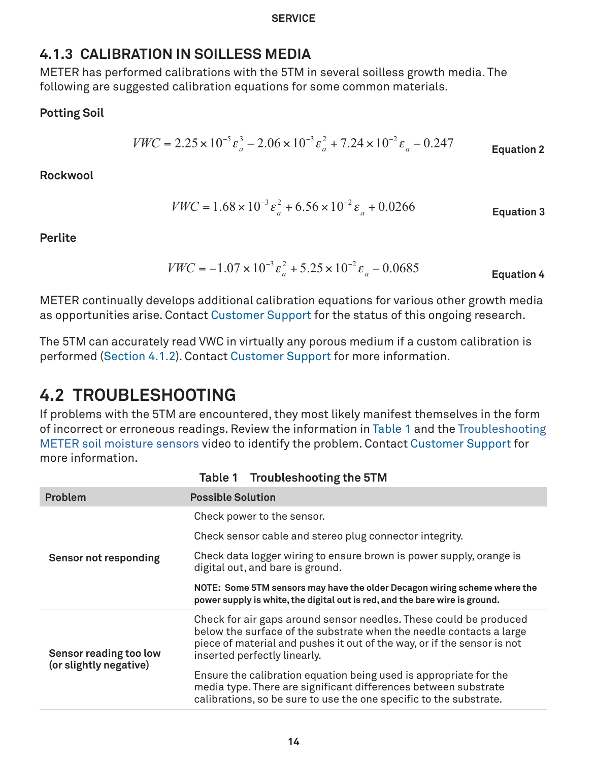### <span id="page-16-0"></span>**4.1.3 CALIBRATION IN SOILLESS MEDIA**

METER has performed calibrations with the 5TM in several soilless growth media. The following are suggested calibration equations for some common materials.

### **Potting Soil**

$$
VWC = 2.25 \times 10^{-5} \varepsilon_a^3 - 2.06 \times 10^{-3} \varepsilon_a^2 + 7.24 \times 10^{-2} \varepsilon_a - 0.247
$$
 Equation 2

**Rockwool**

$$
VWC = 1.68 \times 10^{-3} \varepsilon_a^2 + 6.56 \times 10^{-2} \varepsilon_a + 0.0266
$$
 **Equation 3**

**Perlite**

$$
VWC = -1.07 \times 10^{-3} \varepsilon_a^2 + 5.25 \times 10^{-2} \varepsilon_a - 0.0685
$$
 Equation 4

METER continually develops additional calibration equations for various other growth media as opportunities arise. Contact [Customer Support](#page-17-1) for the status of this ongoing research.

The 5TM can accurately read VWC in virtually any porous medium if a custom calibration is performed [\(Section 4.1.2\)](#page-15-1). Contact [Customer Support](#page-17-1) for more information.

# **4.2 TROUBLESHOOTING**

If problems with the 5TM are encountered, they most likely manifest themselves in the form of incorrect or erroneous readings. Review the information in [Table 1](#page-16-1) and the Troubleshooting METER soil moisture sensors video to identify the problem. Contact [Customer Support](#page-17-1) for more information.

| Problem                | <b>Possible Solution</b>                                                                                                                                                                                                                            |
|------------------------|-----------------------------------------------------------------------------------------------------------------------------------------------------------------------------------------------------------------------------------------------------|
|                        | Check power to the sensor.                                                                                                                                                                                                                          |
|                        | Check sensor cable and stereo plug connector integrity.                                                                                                                                                                                             |
| Sensor not responding  | Check data logger wiring to ensure brown is power supply, orange is<br>digital out, and bare is ground.                                                                                                                                             |
|                        | NOTE: Some 5TM sensors may have the older Decagon wiring scheme where the<br>power supply is white, the digital out is red, and the bare wire is ground.                                                                                            |
| Sensor reading too low | Check for air gaps around sensor needles. These could be produced<br>below the surface of the substrate when the needle contacts a large<br>piece of material and pushes it out of the way, or if the sensor is not<br>inserted perfectly linearly. |
| (or slightly negative) | Ensure the calibration equation being used is appropriate for the<br>media type. There are significant differences between substrate<br>calibrations, so be sure to use the one specific to the substrate.                                          |

<span id="page-16-1"></span>**Table 1 Troubleshooting the 5TM**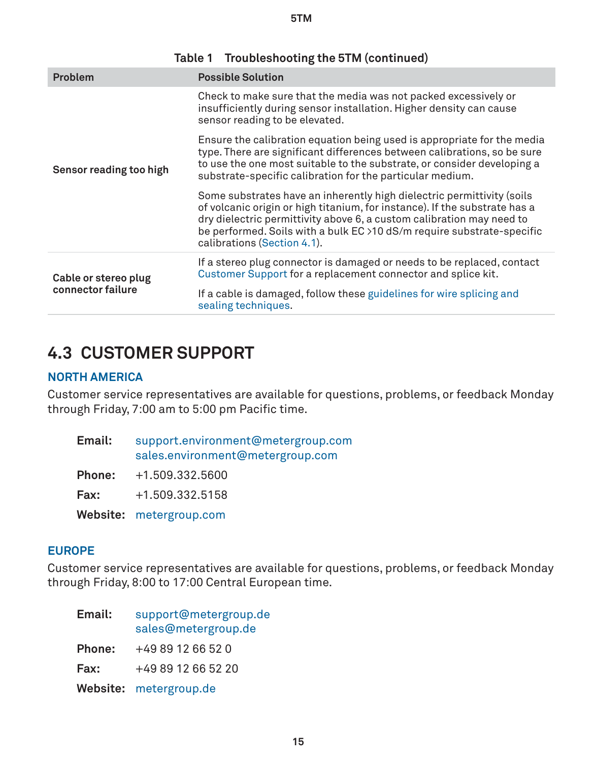<span id="page-17-0"></span>

| Problem                 | <b>Possible Solution</b>                                                                                                                                                                                                                                                                                                               |
|-------------------------|----------------------------------------------------------------------------------------------------------------------------------------------------------------------------------------------------------------------------------------------------------------------------------------------------------------------------------------|
|                         | Check to make sure that the media was not packed excessively or<br>insufficiently during sensor installation. Higher density can cause<br>sensor reading to be elevated.                                                                                                                                                               |
| Sensor reading too high | Ensure the calibration equation being used is appropriate for the media<br>type. There are significant differences between calibrations, so be sure<br>to use the one most suitable to the substrate, or consider developing a<br>substrate-specific calibration for the particular medium.                                            |
|                         | Some substrates have an inherently high dielectric permittivity (soils<br>of volcanic origin or high titanium, for instance). If the substrate has a<br>dry dielectric permittivity above 6, a custom calibration may need to<br>be performed. Soils with a bulk EC >10 dS/m require substrate-specific<br>calibrations (Section 4.1). |
| Cable or stereo plug    | If a stereo plug connector is damaged or needs to be replaced, contact<br>Customer Support for a replacement connector and splice kit.                                                                                                                                                                                                 |
| connector failure       | If a cable is damaged, follow these guidelines for wire splicing and<br>sealing techniques.                                                                                                                                                                                                                                            |

#### <span id="page-17-2"></span>**Table 1 Troubleshooting the 5TM (continued)**

### <span id="page-17-1"></span>**4.3 CUSTOMER SUPPORT**

#### **NORTH AMERICA**

Customer service representatives are available for questions, problems, or feedback Monday through Friday, 7:00 am to 5:00 pm Pacific time.

| Email:        | support.environment@metergroup.com<br>sales.environment@metergroup.com |
|---------------|------------------------------------------------------------------------|
| <b>Phone:</b> | +1.509.332.5600                                                        |
| Fax:          | +1.509.332.5158                                                        |
|               | Website: metergroup.com                                                |

#### **EUROPE**

Customer service representatives are available for questions, problems, or feedback Monday through Friday, 8:00 to 17:00 Central European time.

| Email: | support@metergroup.de<br>sales@metergroup.de |
|--------|----------------------------------------------|
| Phone: | +49 89 12 66 52 0                            |
| Fax:   | +49 89 12 66 52 20                           |
|        | Website: metergroup.de                       |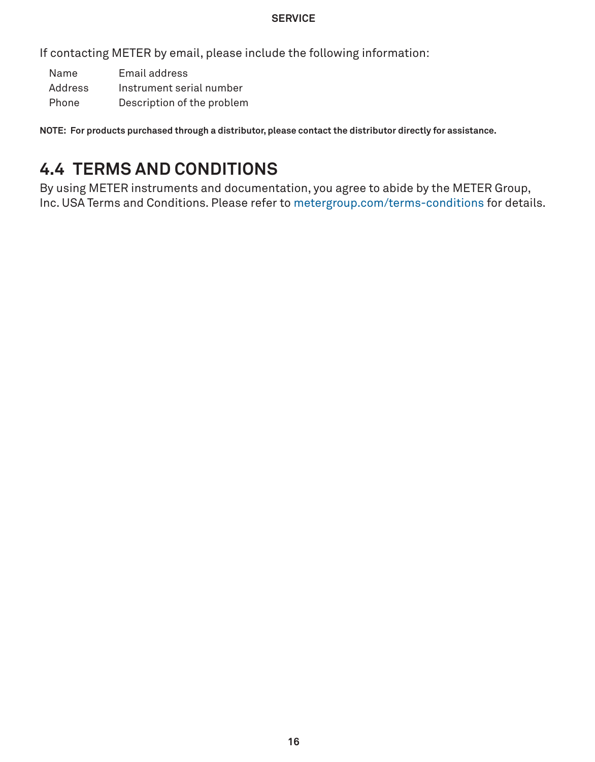#### **Service**

<span id="page-18-0"></span>If contacting METER by email, please include the following information:

| Name    | Email address              |
|---------|----------------------------|
| Address | Instrument serial number   |
| Phone   | Description of the problem |

**NOTE: For products purchased through a distributor, please contact the distributor directly for assistance.**

## **4.4 TERMS AND CONDITIONS**

By using METER instruments and documentation, you agree to abide by the METER Group, Inc. USA Terms and Conditions. Please refer to [metergroup.com/terms-conditions](http://www.metergroup.com/terms-conditions) for details.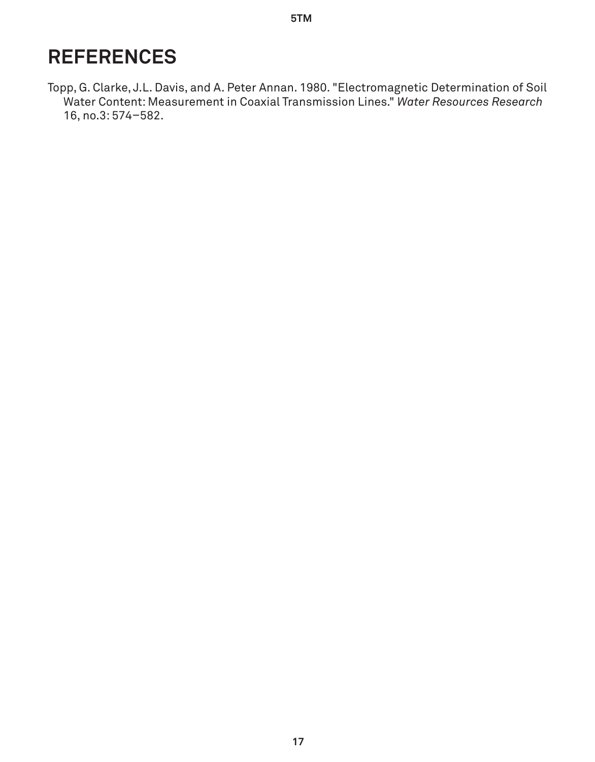# <span id="page-19-0"></span>**REFERENCES**

Topp, G. Clarke, J.L. Davis, and A. Peter Annan. 1980. "Electromagnetic Determination of Soil Water Content: Measurement in Coaxial Transmission Lines." *Water Resources Research* 16, no.3: 574–582.